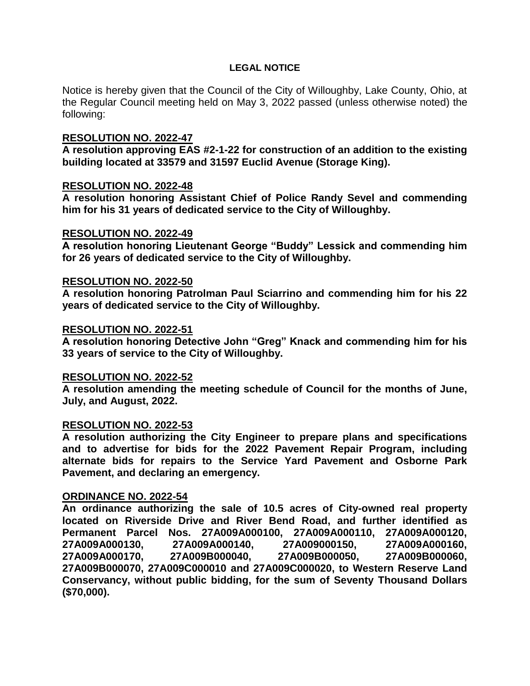## **LEGAL NOTICE**

Notice is hereby given that the Council of the City of Willoughby, Lake County, Ohio, at the Regular Council meeting held on May 3, 2022 passed (unless otherwise noted) the following:

## **RESOLUTION NO. 2022-47**

**A resolution approving EAS #2-1-22 for construction of an addition to the existing building located at 33579 and 31597 Euclid Avenue (Storage King).**

## **RESOLUTION NO. 2022-48**

**A resolution honoring Assistant Chief of Police Randy Sevel and commending him for his 31 years of dedicated service to the City of Willoughby.**

## **RESOLUTION NO. 2022-49**

**A resolution honoring Lieutenant George "Buddy" Lessick and commending him for 26 years of dedicated service to the City of Willoughby.**

## **RESOLUTION NO. 2022-50**

**A resolution honoring Patrolman Paul Sciarrino and commending him for his 22 years of dedicated service to the City of Willoughby.**

#### **RESOLUTION NO. 2022-51**

**A resolution honoring Detective John "Greg" Knack and commending him for his 33 years of service to the City of Willoughby.**

#### **RESOLUTION NO. 2022-52**

**A resolution amending the meeting schedule of Council for the months of June, July, and August, 2022.**

#### **RESOLUTION NO. 2022-53**

**A resolution authorizing the City Engineer to prepare plans and specifications and to advertise for bids for the 2022 Pavement Repair Program, including alternate bids for repairs to the Service Yard Pavement and Osborne Park Pavement, and declaring an emergency.**

#### **ORDINANCE NO. 2022-54**

**An ordinance authorizing the sale of 10.5 acres of City-owned real property located on Riverside Drive and River Bend Road, and further identified as Permanent Parcel Nos. 27A009A000100, 27A009A000110, 27A009A000120, 27A009A000130, 27A009A000140, 27A009000150, 27A009A000160, 27A009A000170, 27A009B000040, 27A009B000050, 27A009B000060, 27A009B000070, 27A009C000010 and 27A009C000020, to Western Reserve Land Conservancy, without public bidding, for the sum of Seventy Thousand Dollars (\$70,000).**